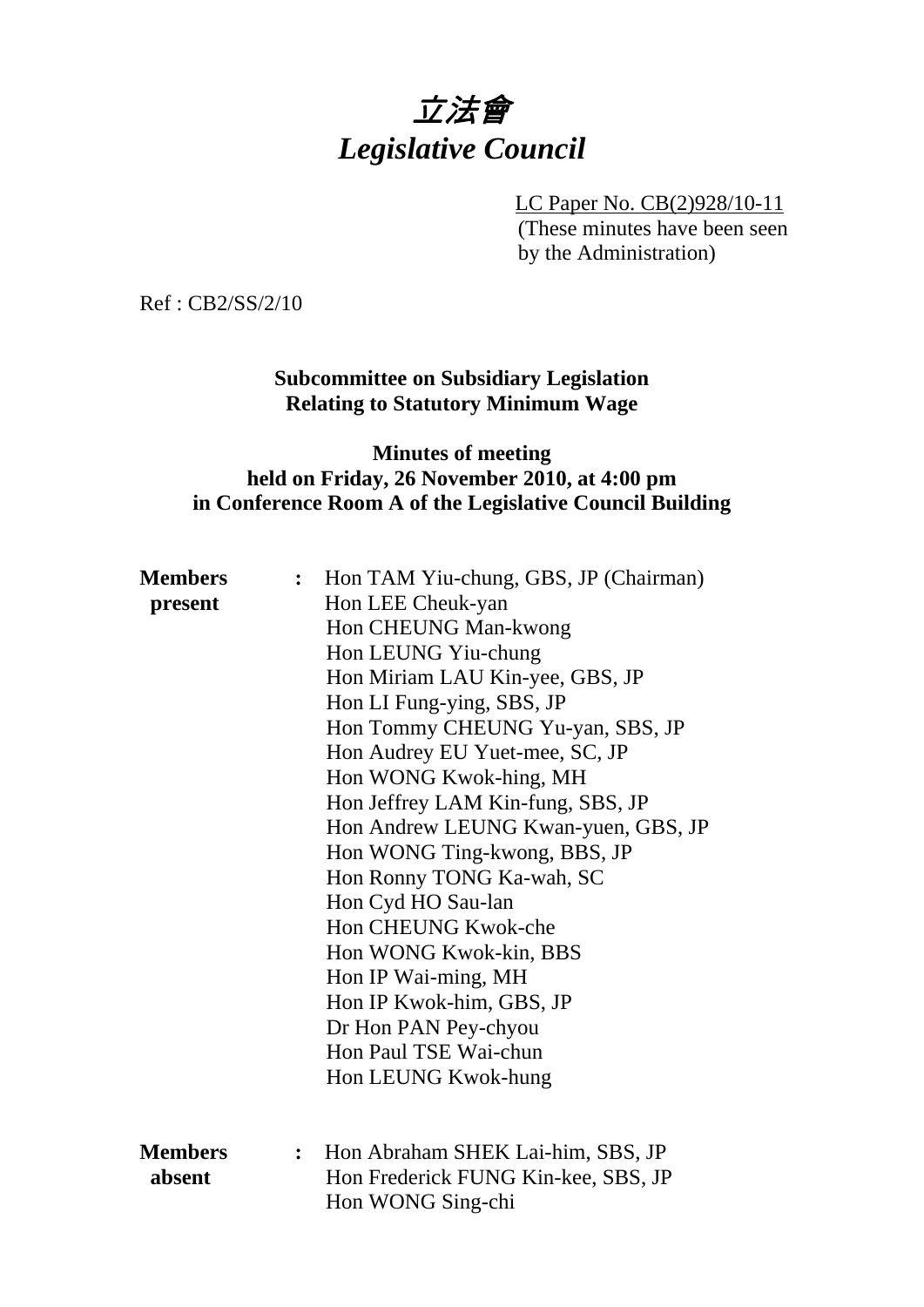# 立法會 *Legislative Council*

LC Paper No. CB(2)928/10-11 (These minutes have been seen by the Administration)

Ref : CB2/SS/2/10

**Subcommittee on Subsidiary Legislation Relating to Statutory Minimum Wage** 

### **Minutes of meeting held on Friday, 26 November 2010, at 4:00 pm in Conference Room A of the Legislative Council Building**

| <b>Members</b> | $\ddot{\cdot}$ | Hon TAM Yiu-chung, GBS, JP (Chairman) |
|----------------|----------------|---------------------------------------|
| present        |                | Hon LEE Cheuk-yan                     |
|                |                | Hon CHEUNG Man-kwong                  |
|                |                | Hon LEUNG Yiu-chung                   |
|                |                | Hon Miriam LAU Kin-yee, GBS, JP       |
|                |                | Hon LI Fung-ying, SBS, JP             |
|                |                | Hon Tommy CHEUNG Yu-yan, SBS, JP      |
|                |                | Hon Audrey EU Yuet-mee, SC, JP        |
|                |                | Hon WONG Kwok-hing, MH                |
|                |                | Hon Jeffrey LAM Kin-fung, SBS, JP     |
|                |                | Hon Andrew LEUNG Kwan-yuen, GBS, JP   |
|                |                | Hon WONG Ting-kwong, BBS, JP          |
|                |                | Hon Ronny TONG Ka-wah, SC             |
|                |                | Hon Cyd HO Sau-lan                    |
|                |                | Hon CHEUNG Kwok-che                   |
|                |                | Hon WONG Kwok-kin, BBS                |
|                |                | Hon IP Wai-ming, MH                   |
|                |                | Hon IP Kwok-him, GBS, JP              |
|                |                | Dr Hon PAN Pey-chyou                  |
|                |                | Hon Paul TSE Wai-chun                 |
|                |                | Hon LEUNG Kwok-hung                   |
|                |                |                                       |
|                |                |                                       |
| <b>Members</b> | $\ddot{\cdot}$ | Hon Abraham SHEK Lai-him, SBS, JP     |
| absent         |                | Hon Frederick FUNG Kin-kee, SBS, JP   |
|                |                | Hon WONG Sing-chi                     |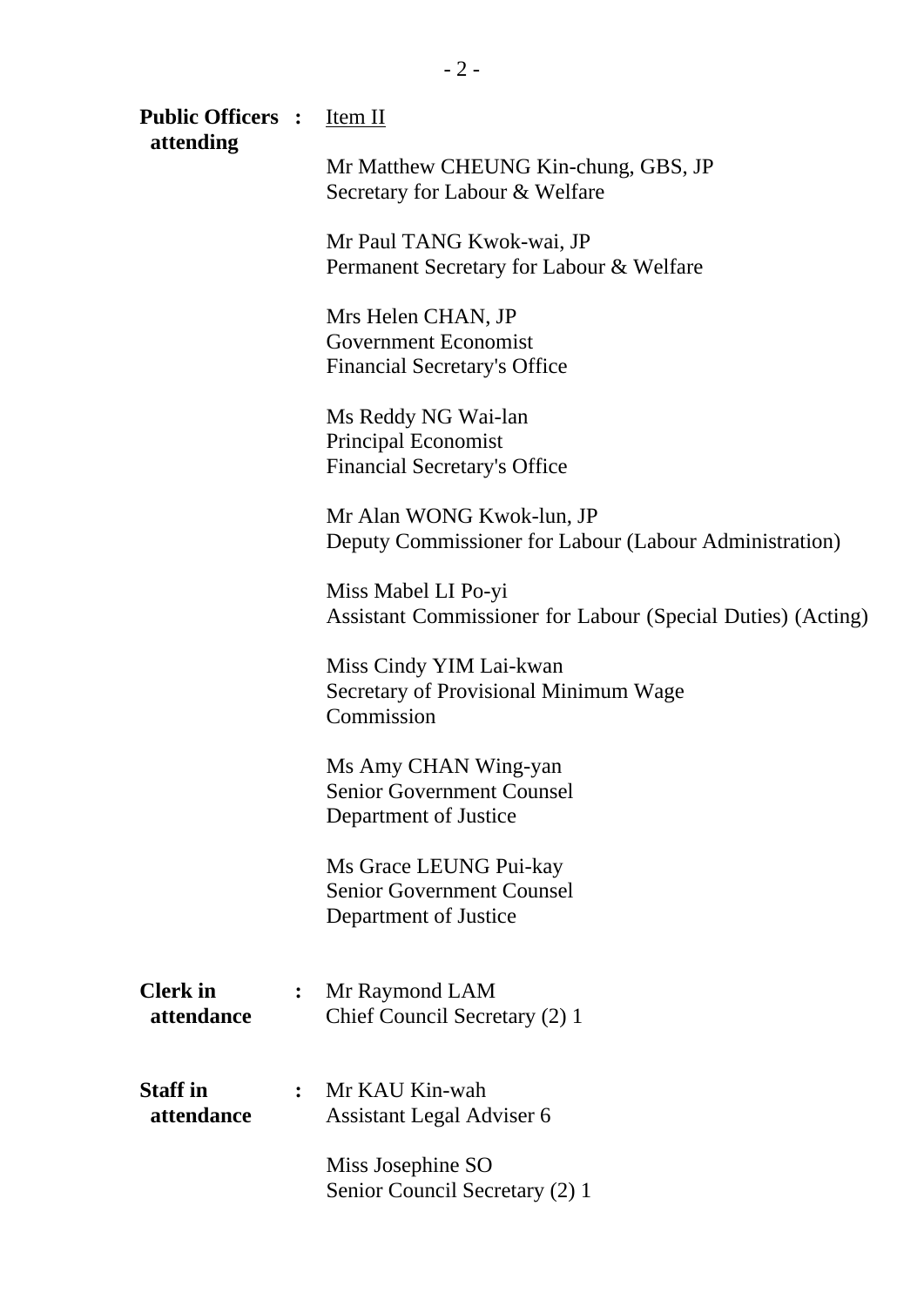| <b>Public Officers :</b> <u>Item II</u><br>attending |                |                                                                                          |
|------------------------------------------------------|----------------|------------------------------------------------------------------------------------------|
|                                                      |                | Mr Matthew CHEUNG Kin-chung, GBS, JP<br>Secretary for Labour & Welfare                   |
|                                                      |                | Mr Paul TANG Kwok-wai, JP<br>Permanent Secretary for Labour & Welfare                    |
|                                                      |                | Mrs Helen CHAN, JP<br><b>Government Economist</b><br><b>Financial Secretary's Office</b> |
|                                                      |                | Ms Reddy NG Wai-lan<br><b>Principal Economist</b><br><b>Financial Secretary's Office</b> |
|                                                      |                | Mr Alan WONG Kwok-lun, JP<br>Deputy Commissioner for Labour (Labour Administration)      |
|                                                      |                | Miss Mabel LI Po-yi<br>Assistant Commissioner for Labour (Special Duties) (Acting)       |
|                                                      |                | Miss Cindy YIM Lai-kwan<br>Secretary of Provisional Minimum Wage<br>Commission           |
|                                                      |                | Ms Amy CHAN Wing-yan<br><b>Senior Government Counsel</b><br>Department of Justice        |
|                                                      |                | Ms Grace LEUNG Pui-kay<br><b>Senior Government Counsel</b><br>Department of Justice      |
| <b>Clerk</b> in<br>attendance                        | $\ddot{\cdot}$ | Mr Raymond LAM<br>Chief Council Secretary (2) 1                                          |
| <b>Staff</b> in<br>attendance                        | $\ddot{\cdot}$ | Mr KAU Kin-wah<br>Assistant Legal Adviser 6                                              |
|                                                      |                | Miss Josephine SO<br>Senior Council Secretary (2) 1                                      |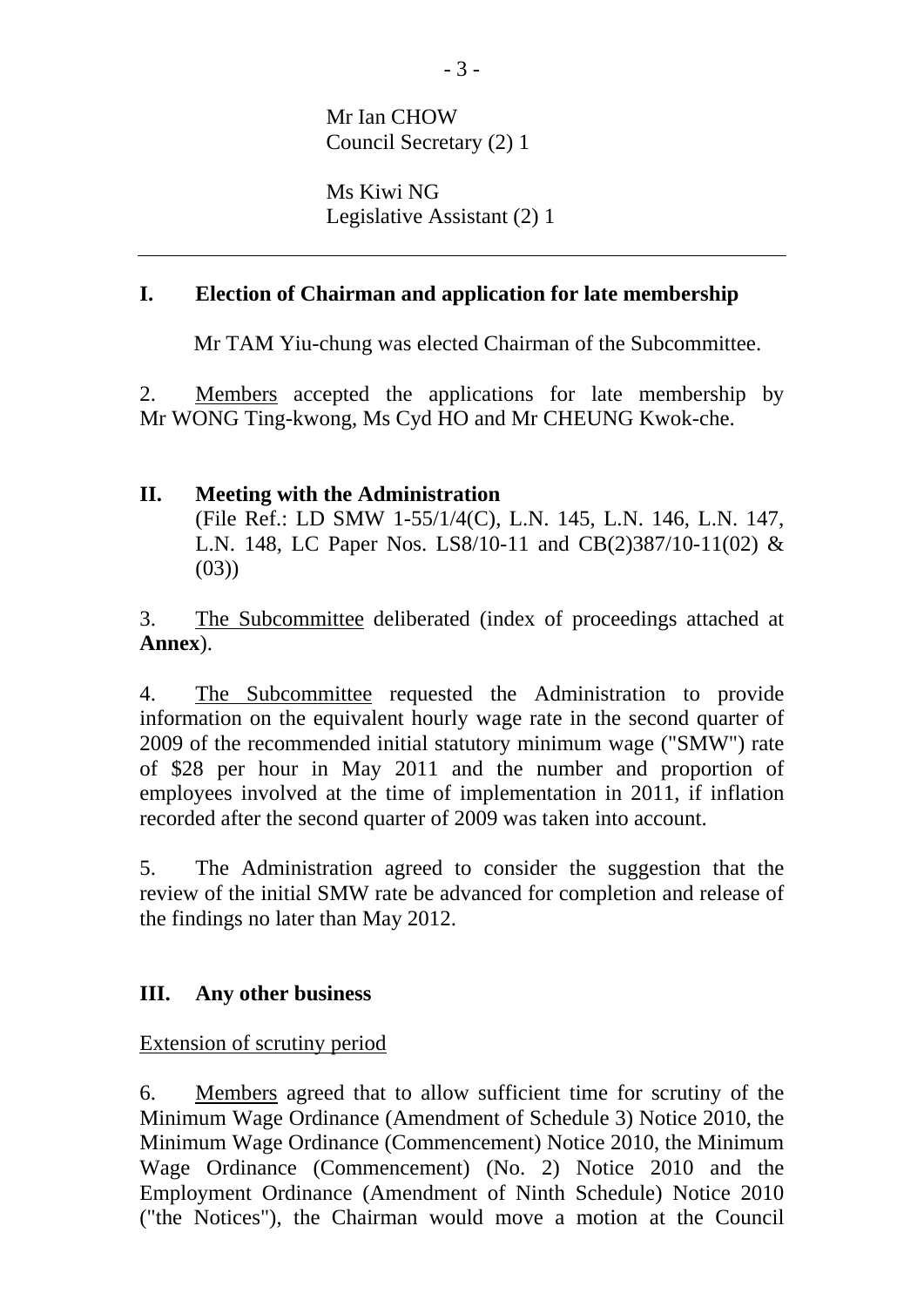Mr Ian CHOW Council Secretary (2) 1

Ms Kiwi NG Legislative Assistant (2) 1

#### **I. Election of Chairman and application for late membership**

Mr TAM Yiu-chung was elected Chairman of the Subcommittee.

2. Members accepted the applications for late membership by Mr WONG Ting-kwong, Ms Cyd HO and Mr CHEUNG Kwok-che.

#### **II. Meeting with the Administration**

(File Ref.: LD SMW 1-55/1/4(C), L.N. 145, L.N. 146, L.N. 147, L.N. 148, LC Paper Nos. LS8/10-11 and CB(2)387/10-11(02) &  $(03)$ 

3. The Subcommittee deliberated (index of proceedings attached at **Annex**).

4. The Subcommittee requested the Administration to provide information on the equivalent hourly wage rate in the second quarter of 2009 of the recommended initial statutory minimum wage ("SMW") rate of \$28 per hour in May 2011 and the number and proportion of employees involved at the time of implementation in 2011, if inflation recorded after the second quarter of 2009 was taken into account.

5. The Administration agreed to consider the suggestion that the review of the initial SMW rate be advanced for completion and release of the findings no later than May 2012.

#### **III. Any other business**

Extension of scrutiny period

6. Members agreed that to allow sufficient time for scrutiny of the Minimum Wage Ordinance (Amendment of Schedule 3) Notice 2010, the Minimum Wage Ordinance (Commencement) Notice 2010, the Minimum Wage Ordinance (Commencement) (No. 2) Notice 2010 and the Employment Ordinance (Amendment of Ninth Schedule) Notice 2010 ("the Notices"), the Chairman would move a motion at the Council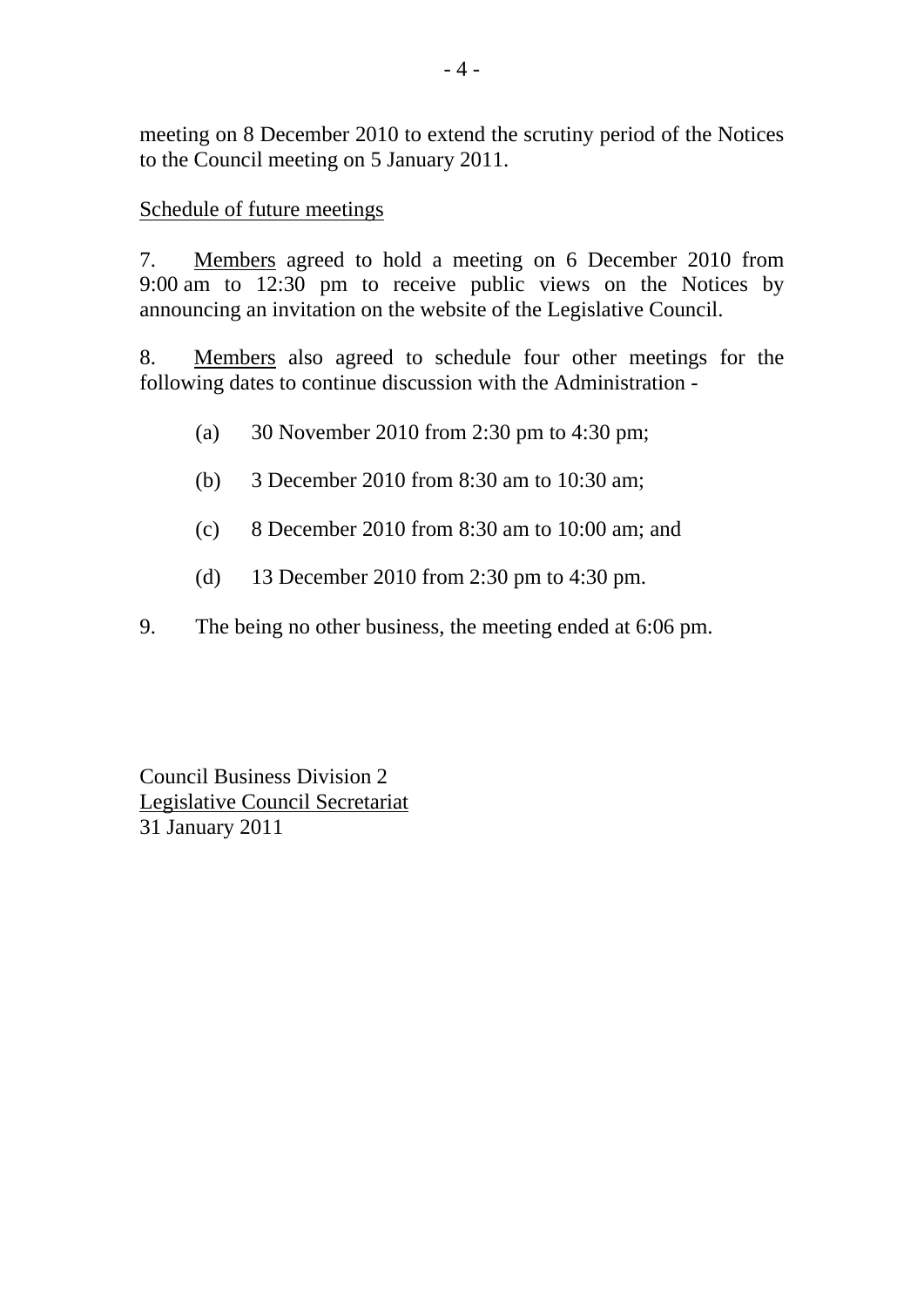meeting on 8 December 2010 to extend the scrutiny period of the Notices to the Council meeting on 5 January 2011.

#### Schedule of future meetings

7. Members agreed to hold a meeting on 6 December 2010 from 9:00 am to 12:30 pm to receive public views on the Notices by announcing an invitation on the website of the Legislative Council.

8. Members also agreed to schedule four other meetings for the following dates to continue discussion with the Administration -

- (a) 30 November 2010 from 2:30 pm to 4:30 pm;
- (b) 3 December 2010 from 8:30 am to 10:30 am;
- (c) 8 December 2010 from 8:30 am to 10:00 am; and
- (d) 13 December 2010 from 2:30 pm to 4:30 pm.
- 9. The being no other business, the meeting ended at 6:06 pm.

Council Business Division 2 Legislative Council Secretariat 31 January 2011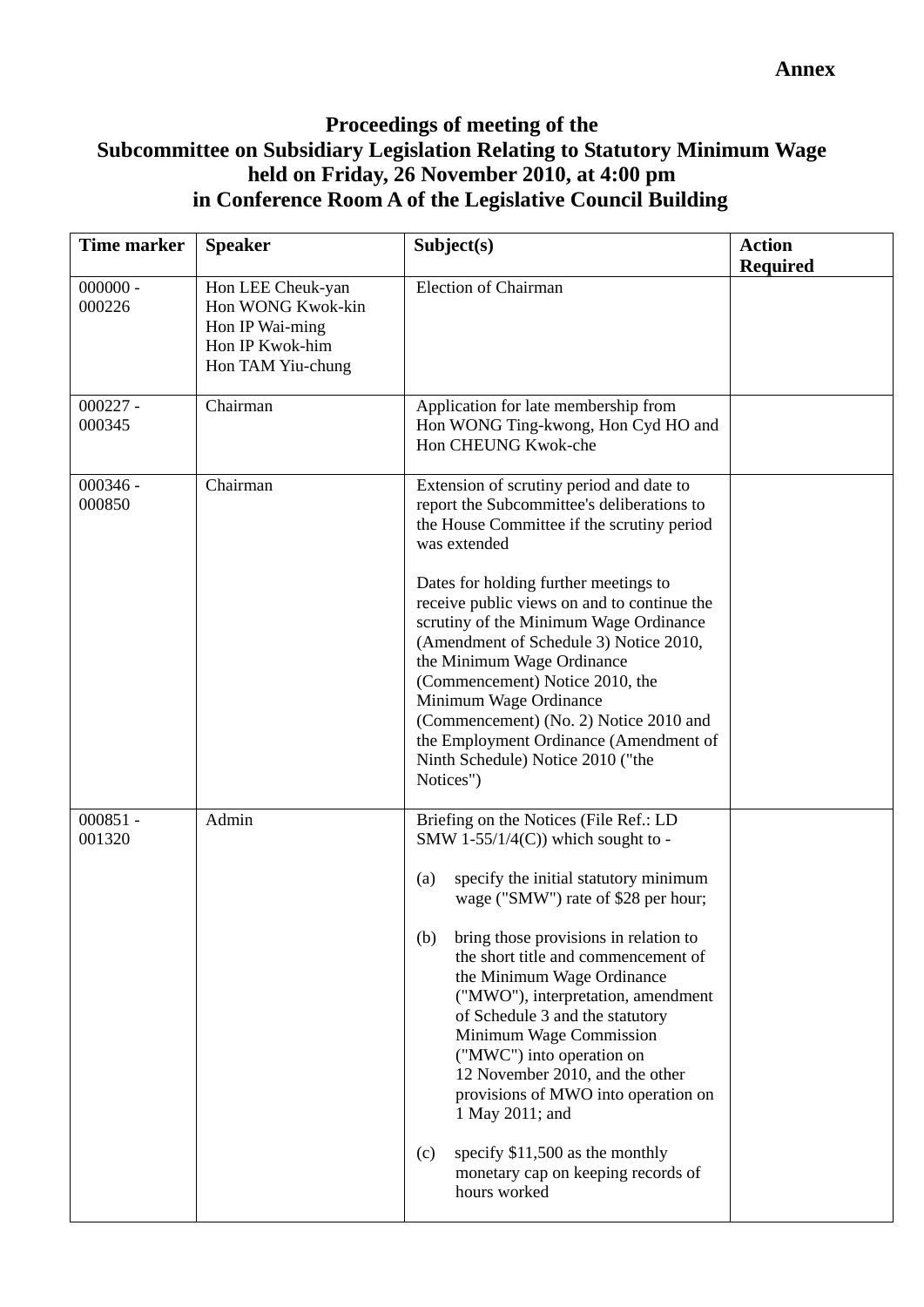## **Proceedings of meeting of the Subcommittee on Subsidiary Legislation Relating to Statutory Minimum Wage held on Friday, 26 November 2010, at 4:00 pm in Conference Room A of the Legislative Council Building**

| Time marker          | <b>Speaker</b>                                                                                    | Subject(s)                                                                                                                                                                                                                                                                                                                                                                                                                                                                                                             | <b>Action</b><br><b>Required</b> |
|----------------------|---------------------------------------------------------------------------------------------------|------------------------------------------------------------------------------------------------------------------------------------------------------------------------------------------------------------------------------------------------------------------------------------------------------------------------------------------------------------------------------------------------------------------------------------------------------------------------------------------------------------------------|----------------------------------|
| $000000 -$<br>000226 | Hon LEE Cheuk-yan<br>Hon WONG Kwok-kin<br>Hon IP Wai-ming<br>Hon IP Kwok-him<br>Hon TAM Yiu-chung | <b>Election of Chairman</b>                                                                                                                                                                                                                                                                                                                                                                                                                                                                                            |                                  |
| $000227 -$<br>000345 | Chairman                                                                                          | Application for late membership from<br>Hon WONG Ting-kwong, Hon Cyd HO and<br>Hon CHEUNG Kwok-che                                                                                                                                                                                                                                                                                                                                                                                                                     |                                  |
| $000346 -$<br>000850 | Chairman                                                                                          | Extension of scrutiny period and date to<br>report the Subcommittee's deliberations to<br>the House Committee if the scrutiny period<br>was extended                                                                                                                                                                                                                                                                                                                                                                   |                                  |
|                      |                                                                                                   | Dates for holding further meetings to<br>receive public views on and to continue the<br>scrutiny of the Minimum Wage Ordinance<br>(Amendment of Schedule 3) Notice 2010,<br>the Minimum Wage Ordinance<br>(Commencement) Notice 2010, the<br>Minimum Wage Ordinance<br>(Commencement) (No. 2) Notice 2010 and<br>the Employment Ordinance (Amendment of<br>Ninth Schedule) Notice 2010 ("the<br>Notices")                                                                                                              |                                  |
| $000851 -$<br>001320 | Admin                                                                                             | Briefing on the Notices (File Ref.: LD<br>SMW 1-55/1/4(C)) which sought to -<br>specify the initial statutory minimum<br>(a)<br>wage ("SMW") rate of \$28 per hour;<br>bring those provisions in relation to<br>(b)<br>the short title and commencement of<br>the Minimum Wage Ordinance<br>("MWO"), interpretation, amendment<br>of Schedule 3 and the statutory<br>Minimum Wage Commission<br>("MWC") into operation on<br>12 November 2010, and the other<br>provisions of MWO into operation on<br>1 May 2011; and |                                  |
|                      |                                                                                                   | specify \$11,500 as the monthly<br>(c)<br>monetary cap on keeping records of<br>hours worked                                                                                                                                                                                                                                                                                                                                                                                                                           |                                  |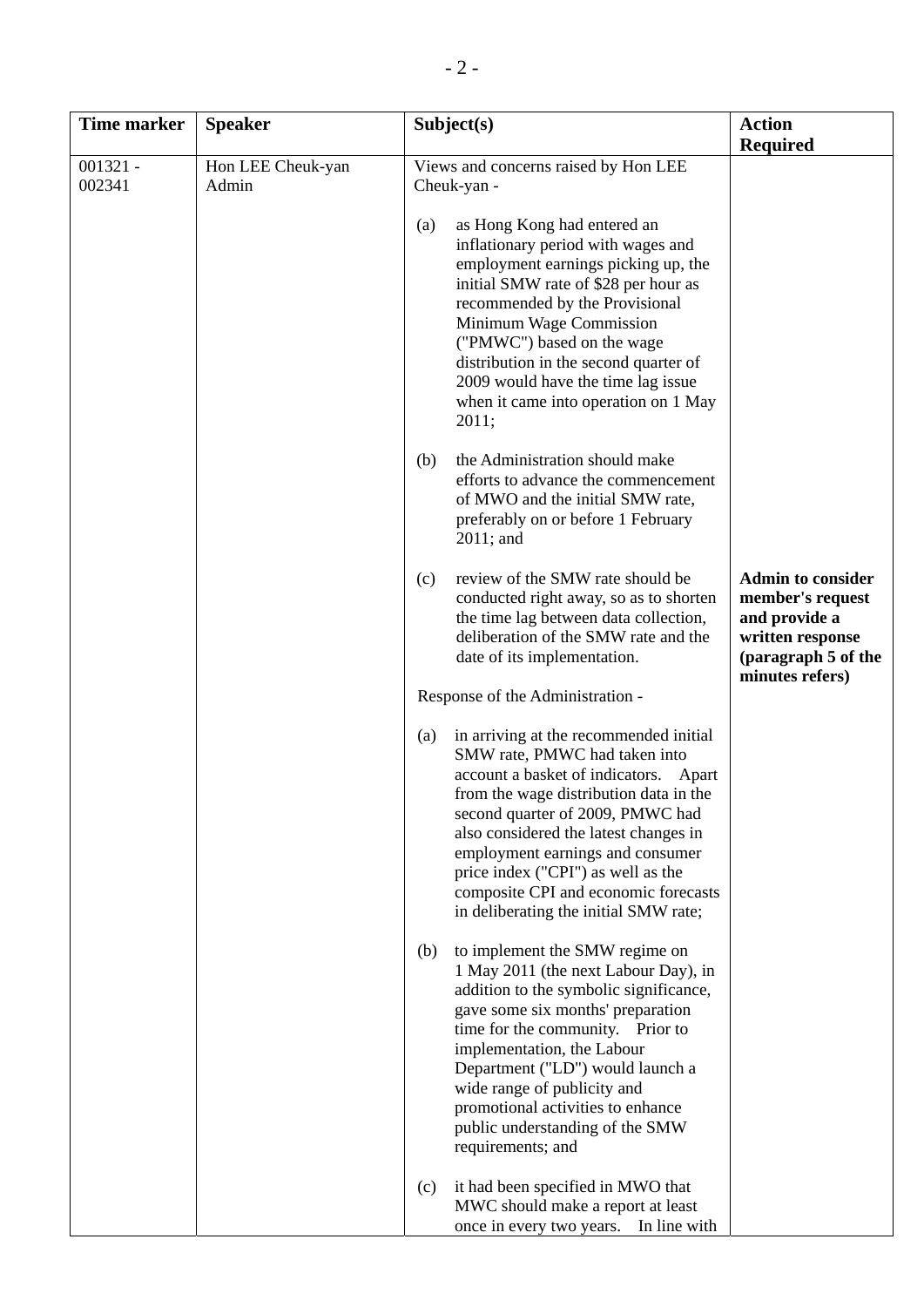| <b>Time marker</b>   | <b>Speaker</b>             | Subject(s)                                                                                                                                                                                                                                                                                                                                                                                                                                                                                                                                                                                                                                                                                                                                                                                                                                                                                                                                                                                                                                                                                                                                                                            | <b>Action</b>                                                                                                                                  |
|----------------------|----------------------------|---------------------------------------------------------------------------------------------------------------------------------------------------------------------------------------------------------------------------------------------------------------------------------------------------------------------------------------------------------------------------------------------------------------------------------------------------------------------------------------------------------------------------------------------------------------------------------------------------------------------------------------------------------------------------------------------------------------------------------------------------------------------------------------------------------------------------------------------------------------------------------------------------------------------------------------------------------------------------------------------------------------------------------------------------------------------------------------------------------------------------------------------------------------------------------------|------------------------------------------------------------------------------------------------------------------------------------------------|
| $001321 -$<br>002341 | Hon LEE Cheuk-yan<br>Admin | Views and concerns raised by Hon LEE<br>Cheuk-yan -<br>as Hong Kong had entered an<br>(a)<br>inflationary period with wages and<br>employment earnings picking up, the<br>initial SMW rate of \$28 per hour as<br>recommended by the Provisional<br>Minimum Wage Commission<br>("PMWC") based on the wage<br>distribution in the second quarter of<br>2009 would have the time lag issue<br>when it came into operation on 1 May<br>2011;<br>the Administration should make<br>(b)<br>efforts to advance the commencement<br>of MWO and the initial SMW rate,<br>preferably on or before 1 February<br>2011; and<br>review of the SMW rate should be<br>(c)<br>conducted right away, so as to shorten<br>the time lag between data collection,<br>deliberation of the SMW rate and the<br>date of its implementation.<br>Response of the Administration -<br>in arriving at the recommended initial<br>(a)<br>SMW rate, PMWC had taken into<br>account a basket of indicators. Apart<br>from the wage distribution data in the<br>second quarter of 2009, PMWC had<br>also considered the latest changes in<br>employment earnings and consumer<br>price index ("CPI") as well as the | <b>Required</b><br><b>Admin to consider</b><br>member's request<br>and provide a<br>written response<br>(paragraph 5 of the<br>minutes refers) |
|                      |                            | composite CPI and economic forecasts<br>in deliberating the initial SMW rate;<br>to implement the SMW regime on<br>(b)<br>1 May 2011 (the next Labour Day), in<br>addition to the symbolic significance,<br>gave some six months' preparation<br>time for the community. Prior to<br>implementation, the Labour<br>Department ("LD") would launch a<br>wide range of publicity and<br>promotional activities to enhance<br>public understanding of the SMW<br>requirements; and<br>it had been specified in MWO that<br>(c)<br>MWC should make a report at least<br>once in every two years.<br>In line with                                                                                                                                                                                                                                                                                                                                                                                                                                                                                                                                                                          |                                                                                                                                                |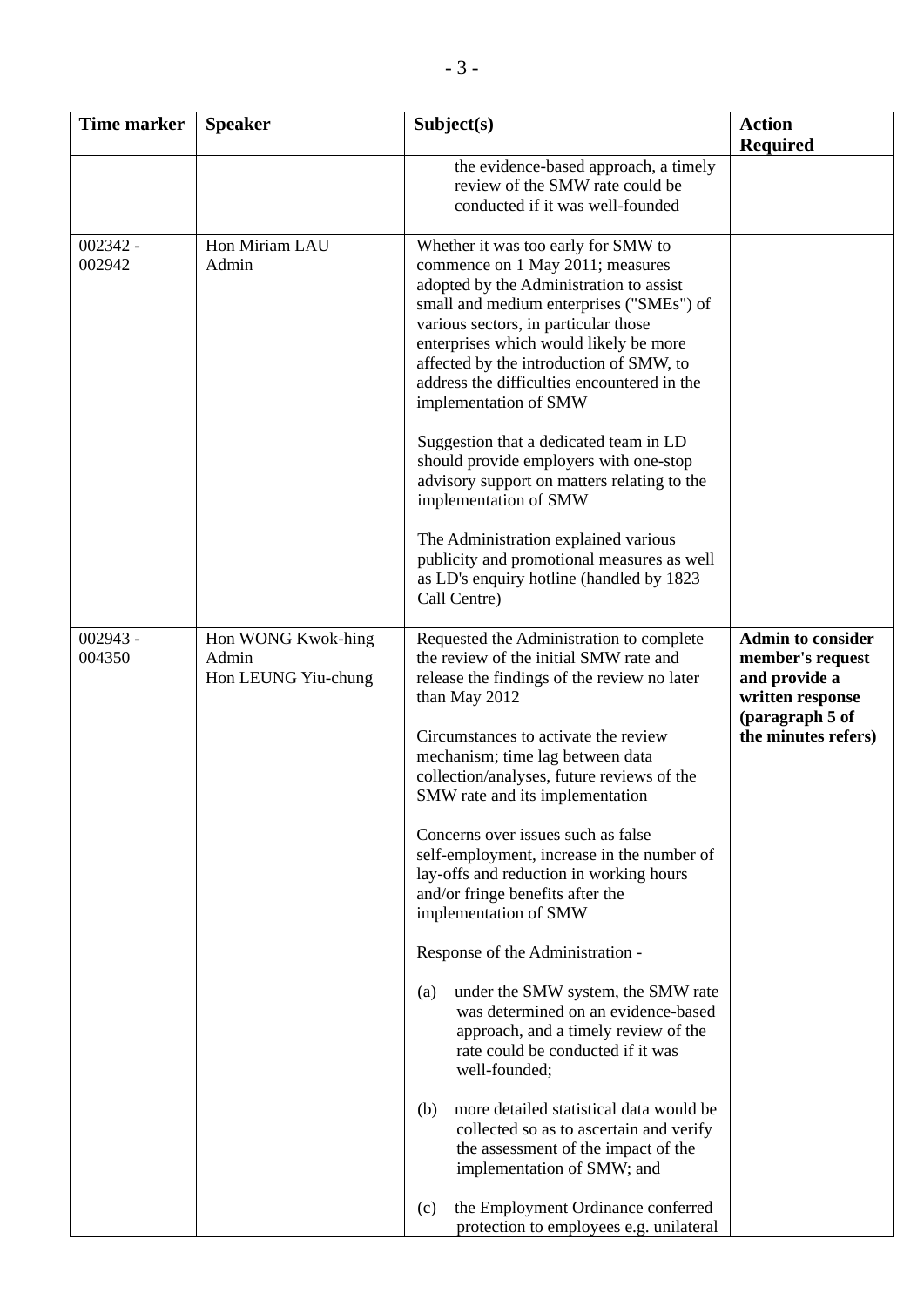| Time marker          | <b>Speaker</b>                                     | Subject(s)                                                                                                                                                                                                                                                                                                                                                                                                                                                                                                                                                                                                                                                                                                                                                                                                                                                                                                                                                                                  | <b>Action</b><br><b>Required</b>                                                                                            |
|----------------------|----------------------------------------------------|---------------------------------------------------------------------------------------------------------------------------------------------------------------------------------------------------------------------------------------------------------------------------------------------------------------------------------------------------------------------------------------------------------------------------------------------------------------------------------------------------------------------------------------------------------------------------------------------------------------------------------------------------------------------------------------------------------------------------------------------------------------------------------------------------------------------------------------------------------------------------------------------------------------------------------------------------------------------------------------------|-----------------------------------------------------------------------------------------------------------------------------|
|                      |                                                    | the evidence-based approach, a timely<br>review of the SMW rate could be<br>conducted if it was well-founded                                                                                                                                                                                                                                                                                                                                                                                                                                                                                                                                                                                                                                                                                                                                                                                                                                                                                |                                                                                                                             |
| $002342 -$<br>002942 | Hon Miriam LAU<br>Admin                            | Whether it was too early for SMW to<br>commence on 1 May 2011; measures<br>adopted by the Administration to assist<br>small and medium enterprises ("SMEs") of<br>various sectors, in particular those<br>enterprises which would likely be more<br>affected by the introduction of SMW, to<br>address the difficulties encountered in the<br>implementation of SMW<br>Suggestion that a dedicated team in LD<br>should provide employers with one-stop<br>advisory support on matters relating to the<br>implementation of SMW<br>The Administration explained various<br>publicity and promotional measures as well<br>as LD's enquiry hotline (handled by 1823<br>Call Centre)                                                                                                                                                                                                                                                                                                           |                                                                                                                             |
| $002943 -$<br>004350 | Hon WONG Kwok-hing<br>Admin<br>Hon LEUNG Yiu-chung | Requested the Administration to complete<br>the review of the initial SMW rate and<br>release the findings of the review no later<br>than May 2012<br>Circumstances to activate the review<br>mechanism; time lag between data<br>collection/analyses, future reviews of the<br>SMW rate and its implementation<br>Concerns over issues such as false<br>self-employment, increase in the number of<br>lay-offs and reduction in working hours<br>and/or fringe benefits after the<br>implementation of SMW<br>Response of the Administration -<br>under the SMW system, the SMW rate<br>(a)<br>was determined on an evidence-based<br>approach, and a timely review of the<br>rate could be conducted if it was<br>well-founded;<br>more detailed statistical data would be<br>(b)<br>collected so as to ascertain and verify<br>the assessment of the impact of the<br>implementation of SMW; and<br>the Employment Ordinance conferred<br>(c)<br>protection to employees e.g. unilateral | <b>Admin to consider</b><br>member's request<br>and provide a<br>written response<br>(paragraph 5 of<br>the minutes refers) |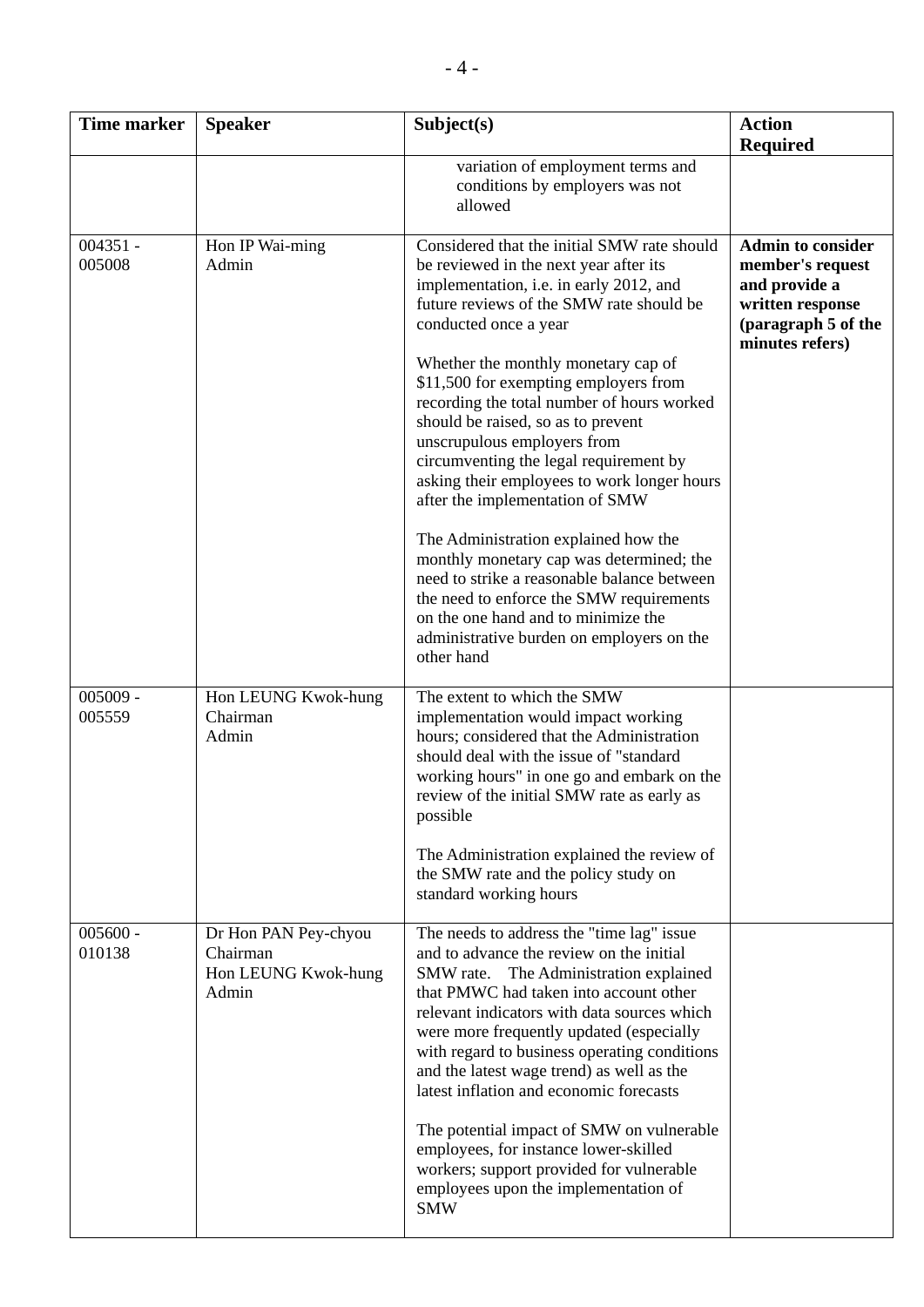| <b>Time marker</b>   | <b>Speaker</b>                                                   | Subject(s)                                                                                                                                                                                                                                                                                                                                                                                                                                                                                                                                                                                                               | <b>Action</b><br><b>Required</b>                                                                                            |
|----------------------|------------------------------------------------------------------|--------------------------------------------------------------------------------------------------------------------------------------------------------------------------------------------------------------------------------------------------------------------------------------------------------------------------------------------------------------------------------------------------------------------------------------------------------------------------------------------------------------------------------------------------------------------------------------------------------------------------|-----------------------------------------------------------------------------------------------------------------------------|
|                      |                                                                  | variation of employment terms and<br>conditions by employers was not<br>allowed                                                                                                                                                                                                                                                                                                                                                                                                                                                                                                                                          |                                                                                                                             |
| $004351 -$<br>005008 | Hon IP Wai-ming<br>Admin                                         | Considered that the initial SMW rate should<br>be reviewed in the next year after its<br>implementation, i.e. in early 2012, and<br>future reviews of the SMW rate should be<br>conducted once a year<br>Whether the monthly monetary cap of<br>\$11,500 for exempting employers from<br>recording the total number of hours worked<br>should be raised, so as to prevent<br>unscrupulous employers from<br>circumventing the legal requirement by<br>asking their employees to work longer hours<br>after the implementation of SMW<br>The Administration explained how the<br>monthly monetary cap was determined; the | <b>Admin to consider</b><br>member's request<br>and provide a<br>written response<br>(paragraph 5 of the<br>minutes refers) |
|                      |                                                                  | need to strike a reasonable balance between<br>the need to enforce the SMW requirements<br>on the one hand and to minimize the<br>administrative burden on employers on the<br>other hand                                                                                                                                                                                                                                                                                                                                                                                                                                |                                                                                                                             |
| $005009 -$<br>005559 | Hon LEUNG Kwok-hung<br>Chairman<br>Admin                         | The extent to which the SMW<br>implementation would impact working<br>hours; considered that the Administration<br>should deal with the issue of "standard<br>working hours" in one go and embark on the<br>review of the initial SMW rate as early as<br>possible                                                                                                                                                                                                                                                                                                                                                       |                                                                                                                             |
|                      |                                                                  | The Administration explained the review of<br>the SMW rate and the policy study on<br>standard working hours                                                                                                                                                                                                                                                                                                                                                                                                                                                                                                             |                                                                                                                             |
| $005600 -$<br>010138 | Dr Hon PAN Pey-chyou<br>Chairman<br>Hon LEUNG Kwok-hung<br>Admin | The needs to address the "time lag" issue<br>and to advance the review on the initial<br>The Administration explained<br>SMW rate.<br>that PMWC had taken into account other<br>relevant indicators with data sources which<br>were more frequently updated (especially<br>with regard to business operating conditions<br>and the latest wage trend) as well as the<br>latest inflation and economic forecasts                                                                                                                                                                                                          |                                                                                                                             |
|                      |                                                                  | The potential impact of SMW on vulnerable<br>employees, for instance lower-skilled<br>workers; support provided for vulnerable<br>employees upon the implementation of<br><b>SMW</b>                                                                                                                                                                                                                                                                                                                                                                                                                                     |                                                                                                                             |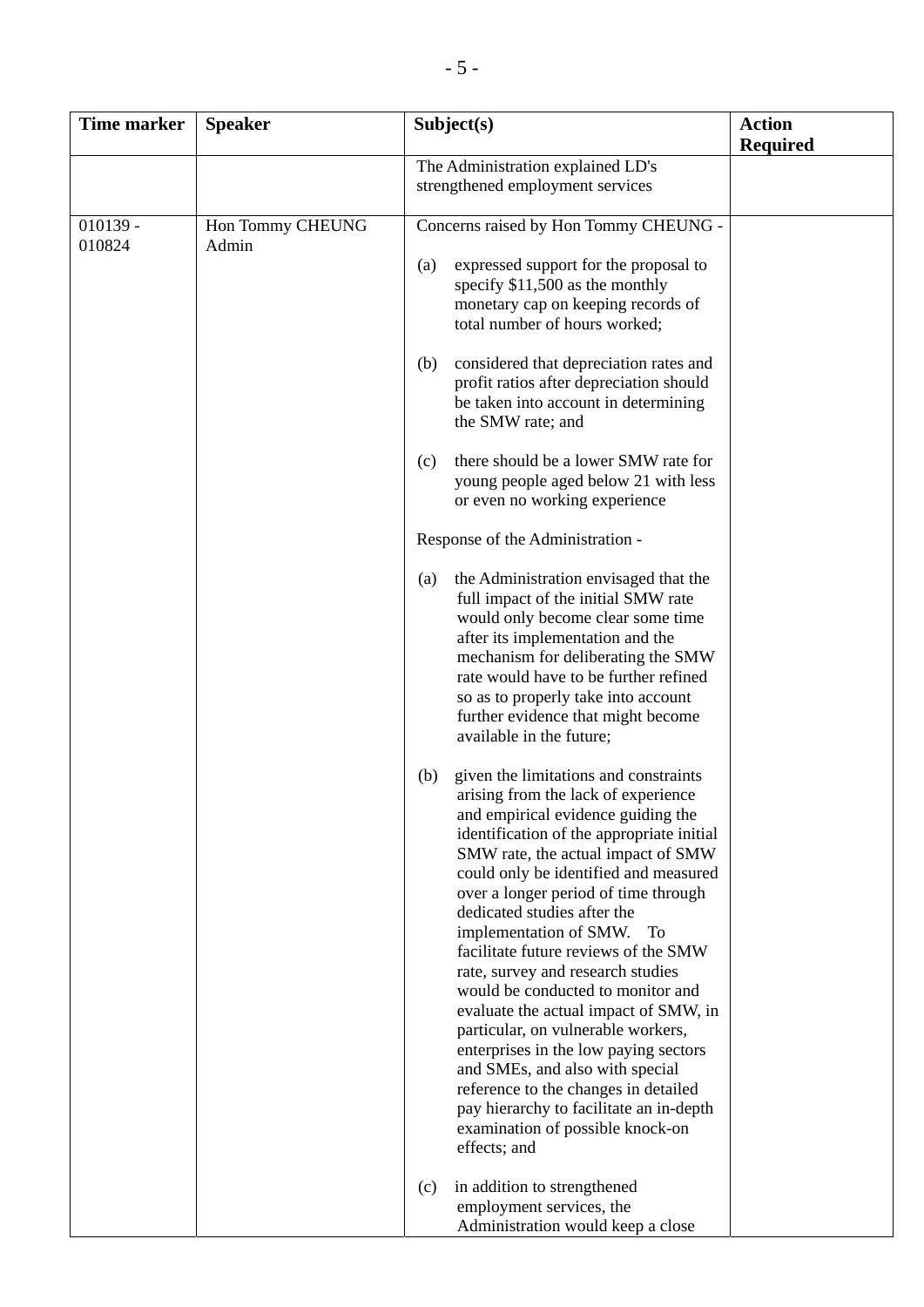| Time marker          | <b>Speaker</b>            | Subject(s)                                                                                                                                                                                                                                                                                                                                                                                                                                                                                                                                                                                                                                                                                                                                                                       | <b>Action</b><br><b>Required</b> |
|----------------------|---------------------------|----------------------------------------------------------------------------------------------------------------------------------------------------------------------------------------------------------------------------------------------------------------------------------------------------------------------------------------------------------------------------------------------------------------------------------------------------------------------------------------------------------------------------------------------------------------------------------------------------------------------------------------------------------------------------------------------------------------------------------------------------------------------------------|----------------------------------|
|                      |                           | The Administration explained LD's<br>strengthened employment services                                                                                                                                                                                                                                                                                                                                                                                                                                                                                                                                                                                                                                                                                                            |                                  |
| $010139 -$<br>010824 | Hon Tommy CHEUNG<br>Admin | Concerns raised by Hon Tommy CHEUNG -<br>expressed support for the proposal to<br>(a)<br>specify \$11,500 as the monthly<br>monetary cap on keeping records of<br>total number of hours worked;<br>considered that depreciation rates and<br>(b)<br>profit ratios after depreciation should<br>be taken into account in determining                                                                                                                                                                                                                                                                                                                                                                                                                                              |                                  |
|                      |                           | the SMW rate; and<br>there should be a lower SMW rate for<br>(c)<br>young people aged below 21 with less<br>or even no working experience                                                                                                                                                                                                                                                                                                                                                                                                                                                                                                                                                                                                                                        |                                  |
|                      |                           | Response of the Administration -<br>the Administration envisaged that the<br>(a)<br>full impact of the initial SMW rate<br>would only become clear some time<br>after its implementation and the<br>mechanism for deliberating the SMW<br>rate would have to be further refined<br>so as to properly take into account<br>further evidence that might become<br>available in the future;                                                                                                                                                                                                                                                                                                                                                                                         |                                  |
|                      |                           | given the limitations and constraints<br>(b)<br>arising from the lack of experience<br>and empirical evidence guiding the<br>identification of the appropriate initial<br>SMW rate, the actual impact of SMW<br>could only be identified and measured<br>over a longer period of time through<br>dedicated studies after the<br>implementation of SMW.<br>To<br>facilitate future reviews of the SMW<br>rate, survey and research studies<br>would be conducted to monitor and<br>evaluate the actual impact of SMW, in<br>particular, on vulnerable workers,<br>enterprises in the low paying sectors<br>and SMEs, and also with special<br>reference to the changes in detailed<br>pay hierarchy to facilitate an in-depth<br>examination of possible knock-on<br>effects; and |                                  |
|                      |                           | in addition to strengthened<br>(c)<br>employment services, the<br>Administration would keep a close                                                                                                                                                                                                                                                                                                                                                                                                                                                                                                                                                                                                                                                                              |                                  |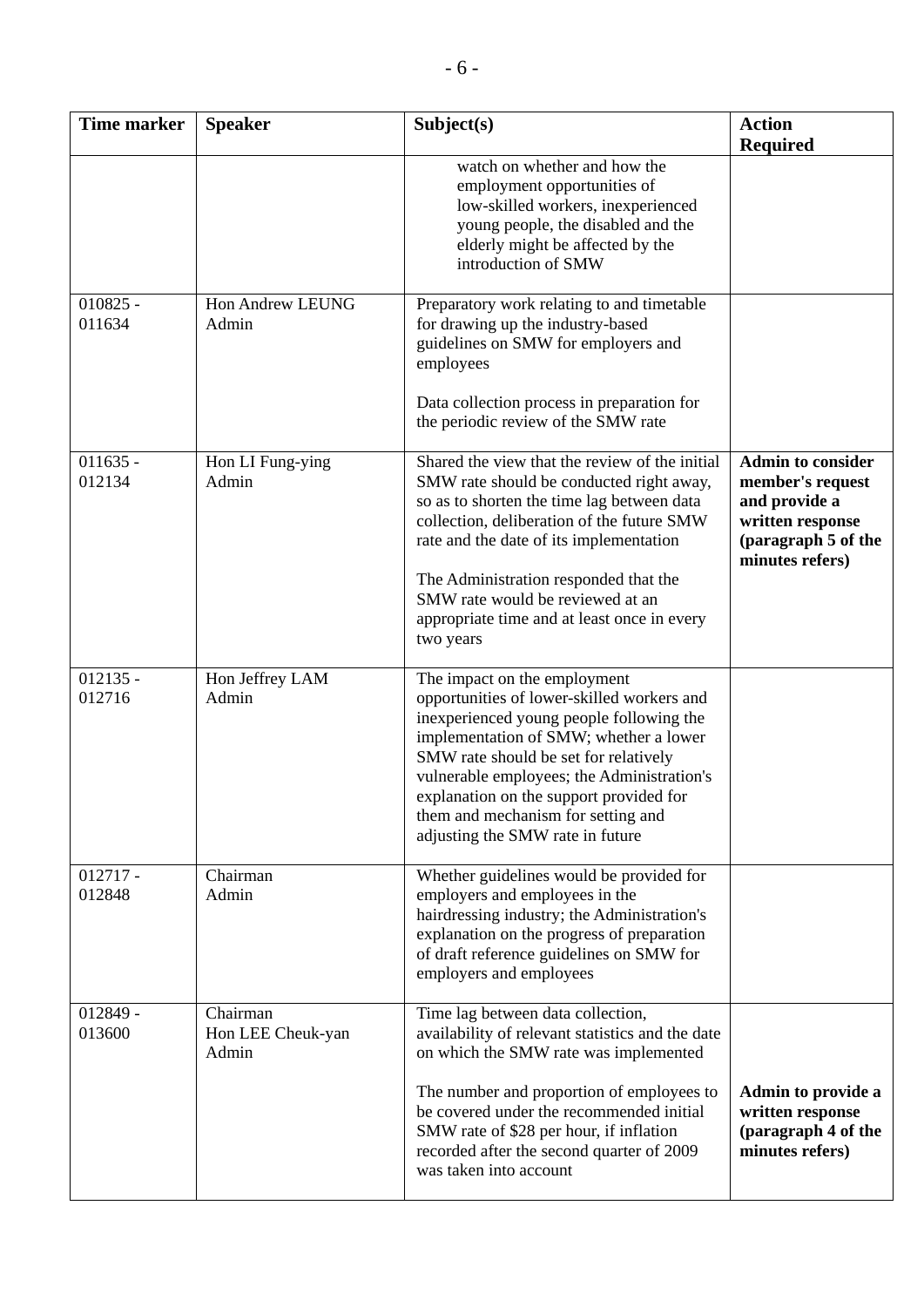| <b>Time marker</b>   | <b>Speaker</b>                         | Subject(s)                                                                                                                                                                                                                                                                                                                                                                   | <b>Action</b>                                                                                                               |
|----------------------|----------------------------------------|------------------------------------------------------------------------------------------------------------------------------------------------------------------------------------------------------------------------------------------------------------------------------------------------------------------------------------------------------------------------------|-----------------------------------------------------------------------------------------------------------------------------|
|                      |                                        |                                                                                                                                                                                                                                                                                                                                                                              | <b>Required</b>                                                                                                             |
|                      |                                        | watch on whether and how the<br>employment opportunities of<br>low-skilled workers, inexperienced<br>young people, the disabled and the<br>elderly might be affected by the<br>introduction of SMW                                                                                                                                                                           |                                                                                                                             |
| $010825 -$<br>011634 | Hon Andrew LEUNG<br>Admin              | Preparatory work relating to and timetable<br>for drawing up the industry-based<br>guidelines on SMW for employers and<br>employees<br>Data collection process in preparation for<br>the periodic review of the SMW rate                                                                                                                                                     |                                                                                                                             |
| $011635 -$<br>012134 | Hon LI Fung-ying<br>Admin              | Shared the view that the review of the initial<br>SMW rate should be conducted right away,<br>so as to shorten the time lag between data<br>collection, deliberation of the future SMW<br>rate and the date of its implementation<br>The Administration responded that the<br>SMW rate would be reviewed at an<br>appropriate time and at least once in every<br>two years   | <b>Admin to consider</b><br>member's request<br>and provide a<br>written response<br>(paragraph 5 of the<br>minutes refers) |
| $012135 -$<br>012716 | Hon Jeffrey LAM<br>Admin               | The impact on the employment<br>opportunities of lower-skilled workers and<br>inexperienced young people following the<br>implementation of SMW; whether a lower<br>SMW rate should be set for relatively<br>vulnerable employees; the Administration's<br>explanation on the support provided for<br>them and mechanism for setting and<br>adjusting the SMW rate in future |                                                                                                                             |
| $012717 -$<br>012848 | Chairman<br>Admin                      | Whether guidelines would be provided for<br>employers and employees in the<br>hairdressing industry; the Administration's<br>explanation on the progress of preparation<br>of draft reference guidelines on SMW for<br>employers and employees                                                                                                                               |                                                                                                                             |
| 012849 -<br>013600   | Chairman<br>Hon LEE Cheuk-yan<br>Admin | Time lag between data collection,<br>availability of relevant statistics and the date<br>on which the SMW rate was implemented<br>The number and proportion of employees to<br>be covered under the recommended initial<br>SMW rate of \$28 per hour, if inflation<br>recorded after the second quarter of 2009<br>was taken into account                                    | Admin to provide a<br>written response<br>(paragraph 4 of the<br>minutes refers)                                            |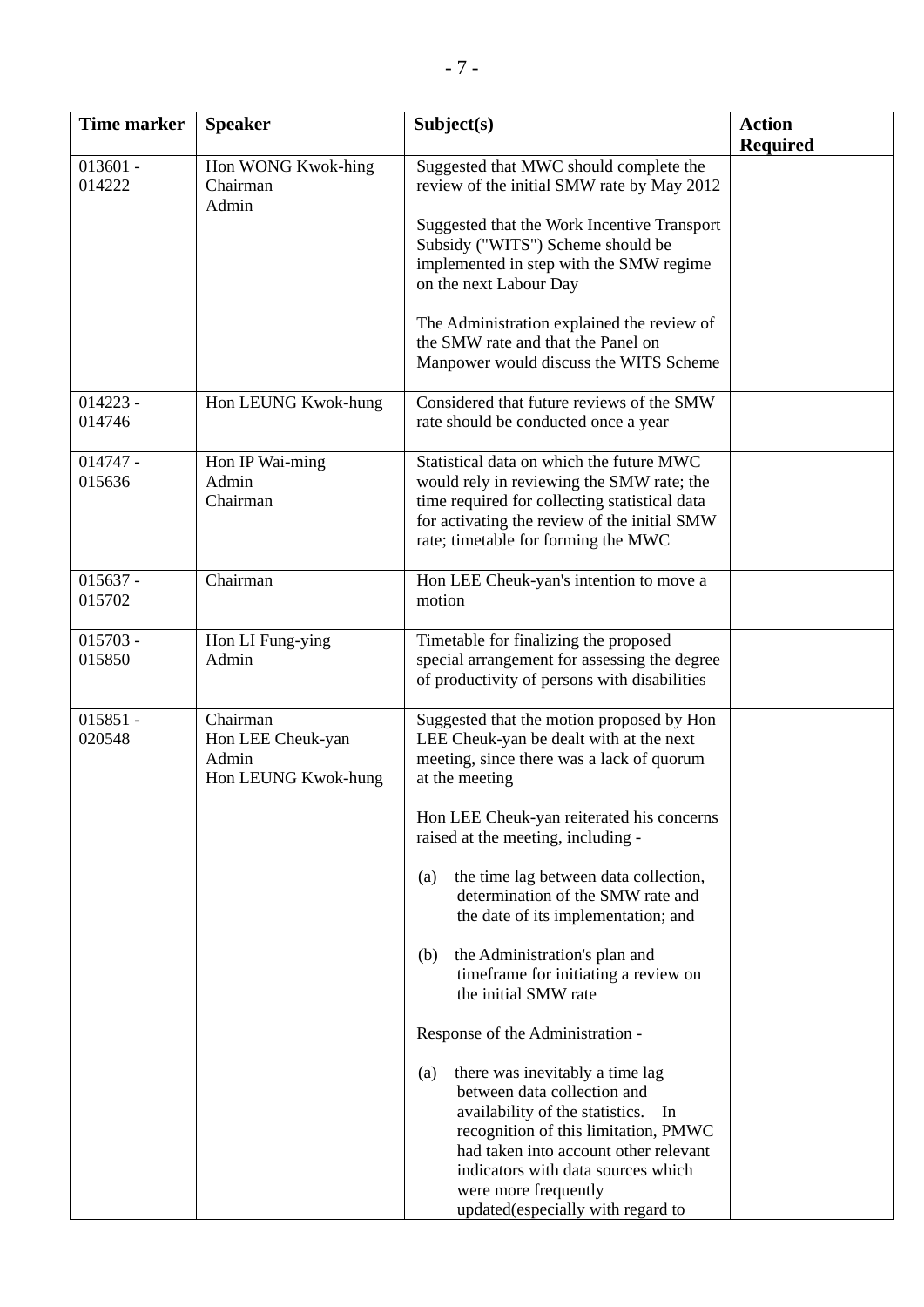| <b>Time marker</b>   | <b>Speaker</b>                                                | Subject(s)                                                                                                                                                                                                                                                                                                                                                                                                                                                                                                                                                                                                                                                                                                                                                                                                           | <b>Action</b>   |
|----------------------|---------------------------------------------------------------|----------------------------------------------------------------------------------------------------------------------------------------------------------------------------------------------------------------------------------------------------------------------------------------------------------------------------------------------------------------------------------------------------------------------------------------------------------------------------------------------------------------------------------------------------------------------------------------------------------------------------------------------------------------------------------------------------------------------------------------------------------------------------------------------------------------------|-----------------|
|                      |                                                               |                                                                                                                                                                                                                                                                                                                                                                                                                                                                                                                                                                                                                                                                                                                                                                                                                      | <b>Required</b> |
| $013601 -$<br>014222 | Hon WONG Kwok-hing<br>Chairman<br>Admin                       | Suggested that MWC should complete the<br>review of the initial SMW rate by May 2012<br>Suggested that the Work Incentive Transport<br>Subsidy ("WITS") Scheme should be<br>implemented in step with the SMW regime<br>on the next Labour Day<br>The Administration explained the review of<br>the SMW rate and that the Panel on                                                                                                                                                                                                                                                                                                                                                                                                                                                                                    |                 |
| $014223 -$           |                                                               | Manpower would discuss the WITS Scheme<br>Considered that future reviews of the SMW                                                                                                                                                                                                                                                                                                                                                                                                                                                                                                                                                                                                                                                                                                                                  |                 |
| 014746               | Hon LEUNG Kwok-hung                                           | rate should be conducted once a year                                                                                                                                                                                                                                                                                                                                                                                                                                                                                                                                                                                                                                                                                                                                                                                 |                 |
| $014747 -$<br>015636 | Hon IP Wai-ming<br>Admin<br>Chairman                          | Statistical data on which the future MWC<br>would rely in reviewing the SMW rate; the<br>time required for collecting statistical data<br>for activating the review of the initial SMW<br>rate; timetable for forming the MWC                                                                                                                                                                                                                                                                                                                                                                                                                                                                                                                                                                                        |                 |
| $015637 -$<br>015702 | Chairman                                                      | Hon LEE Cheuk-yan's intention to move a<br>motion                                                                                                                                                                                                                                                                                                                                                                                                                                                                                                                                                                                                                                                                                                                                                                    |                 |
| $015703 -$<br>015850 | Hon LI Fung-ying<br>Admin                                     | Timetable for finalizing the proposed<br>special arrangement for assessing the degree<br>of productivity of persons with disabilities                                                                                                                                                                                                                                                                                                                                                                                                                                                                                                                                                                                                                                                                                |                 |
| $015851 -$<br>020548 | Chairman<br>Hon LEE Cheuk-yan<br>Admin<br>Hon LEUNG Kwok-hung | Suggested that the motion proposed by Hon<br>LEE Cheuk-yan be dealt with at the next<br>meeting, since there was a lack of quorum<br>at the meeting<br>Hon LEE Cheuk-yan reiterated his concerns<br>raised at the meeting, including -<br>the time lag between data collection,<br>(a)<br>determination of the SMW rate and<br>the date of its implementation; and<br>the Administration's plan and<br>(b)<br>timeframe for initiating a review on<br>the initial SMW rate<br>Response of the Administration -<br>there was inevitably a time lag<br>(a)<br>between data collection and<br>availability of the statistics.<br>In<br>recognition of this limitation, PMWC<br>had taken into account other relevant<br>indicators with data sources which<br>were more frequently<br>updated(especially with regard to |                 |